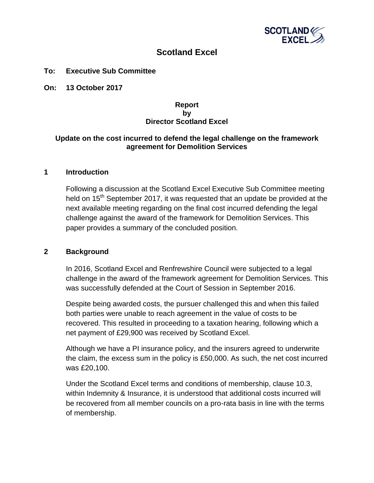

# **Scotland Excel**

#### **To: Executive Sub Committee**

**On: 13 October 2017**

### **Report by Director Scotland Excel**

## **Update on the cost incurred to defend the legal challenge on the framework agreement for Demolition Services**

#### **1 Introduction**

Following a discussion at the Scotland Excel Executive Sub Committee meeting held on  $15<sup>th</sup>$  September 2017, it was requested that an update be provided at the next available meeting regarding on the final cost incurred defending the legal challenge against the award of the framework for Demolition Services. This paper provides a summary of the concluded position.

#### **2 Background**

In 2016, Scotland Excel and Renfrewshire Council were subjected to a legal challenge in the award of the framework agreement for Demolition Services. This was successfully defended at the Court of Session in September 2016.

Despite being awarded costs, the pursuer challenged this and when this failed both parties were unable to reach agreement in the value of costs to be recovered. This resulted in proceeding to a taxation hearing, following which a net payment of £29,900 was received by Scotland Excel.

Although we have a PI insurance policy, and the insurers agreed to underwrite the claim, the excess sum in the policy is £50,000. As such, the net cost incurred was £20,100.

Under the Scotland Excel terms and conditions of membership, clause 10.3, within Indemnity & Insurance, it is understood that additional costs incurred will be recovered from all member councils on a pro-rata basis in line with the terms of membership.